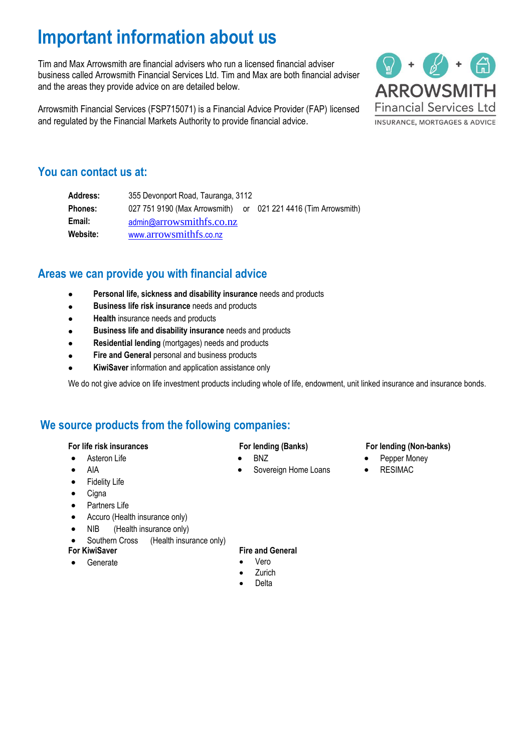# **Important information about us**

Tim and Max Arrowsmith are financial advisers who run a licensed financial adviser business called Arrowsmith Financial Services Ltd. Tim and Max are both financial adviser and the areas they provide advice on are detailed below.

Arrowsmith Financial Services (FSP715071) is a Financial Advice Provider (FAP) licensed and regulated by the Financial Markets Authority to provide financial advice.



### **You can contact us at:**

| Address:       | 355 Devonport Road, Tauranga, 3112                             |  |
|----------------|----------------------------------------------------------------|--|
| <b>Phones:</b> | 027 751 9190 (Max Arrowsmith) or 021 221 4416 (Tim Arrowsmith) |  |
| Email:         | admin@arrowsmithfs.co.nz                                       |  |
| Website:       | www.arrowsmithfs.co.nz                                         |  |

## **Areas we can provide you with financial advice**

- **Personal life, sickness and disability insurance** needs and products
- **Business life risk insurance** needs and products
- **Health** insurance needs and products
- **Business life and disability insurance** needs and products
- **Residential lending** (mortgages) needs and products
- **Fire and General personal and business products**
- **KiwiSaver** information and application assistance only

We do not give advice on life investment products including whole of life, endowment, unit linked insurance and insurance bonds.

### **We source products from the following companies:**

#### **For life risk insurances**

- Asteron Life
- AIA
- **Fidelity Life**
- **Cigna**
- Partners Life
- Accuro (Health insurance only)
- NIB (Health insurance only)
- Southern Cross (Health insurance only)

#### **For KiwiSaver**

• Generate

### **For lending (Banks)**

- BNZ
- Sovereign Home Loans

### **For lending (Non-banks)**

- Pepper Money
- RESIMAC

- **Fire and General**
- Vero
- **Zurich**
- Delta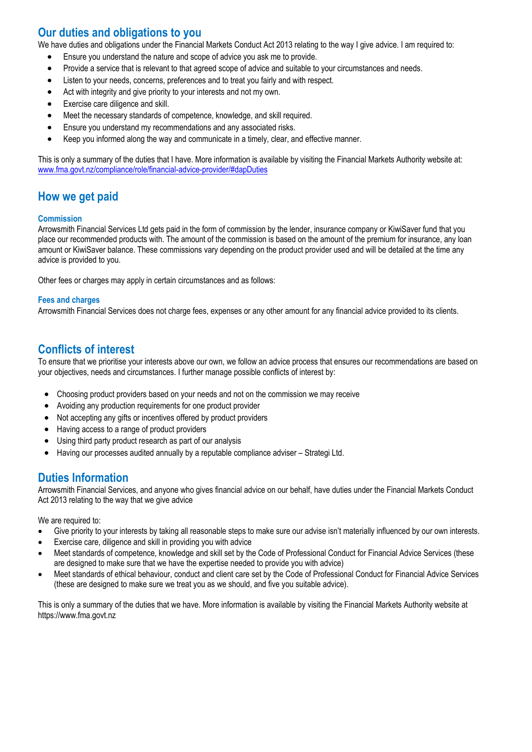# **Our duties and obligations to you**

We have duties and obligations under the Financial Markets Conduct Act 2013 relating to the way I give advice. I am required to:

- Ensure you understand the nature and scope of advice you ask me to provide.
- Provide a service that is relevant to that agreed scope of advice and suitable to your circumstances and needs.
- Listen to your needs, concerns, preferences and to treat you fairly and with respect.
- Act with integrity and give priority to your interests and not my own.
- Exercise care diligence and skill.
- Meet the necessary standards of competence, knowledge, and skill required.
- Ensure you understand my recommendations and any associated risks.
- Keep you informed along the way and communicate in a timely, clear, and effective manner.

This is only a summary of the duties that I have. More information is available by visiting the Financial Markets Authority website at: [www.fma.govt.nz/compliance/role/financial-advice-provider/#dapDuties](http://www.fma.govt.nz/compliance/role/financial-advice-provider/#dapDuties)

## **How we get paid**

#### **Commission**

Arrowsmith Financial Services Ltd gets paid in the form of commission by the lender, insurance company or KiwiSaver fund that you place our recommended products with. The amount of the commission is based on the amount of the premium for insurance, any loan amount or KiwiSaver balance. These commissions vary depending on the product provider used and will be detailed at the time any advice is provided to you.

Other fees or charges may apply in certain circumstances and as follows:

#### **Fees and charges**

Arrowsmith Financial Services does not charge fees, expenses or any other amount for any financial advice provided to its clients.

### **Conflicts of interest**

To ensure that we prioritise your interests above our own, we follow an advice process that ensures our recommendations are based on your objectives, needs and circumstances. I further manage possible conflicts of interest by:

- Choosing product providers based on your needs and not on the commission we may receive
- Avoiding any production requirements for one product provider
- Not accepting any gifts or incentives offered by product providers
- Having access to a range of product providers
- Using third party product research as part of our analysis
- Having our processes audited annually by a reputable compliance adviser Strategi Ltd.

### **Duties Information**

Arrowsmith Financial Services, and anyone who gives financial advice on our behalf, have duties under the Financial Markets Conduct Act 2013 relating to the way that we give advice

We are required to:

- Give priority to your interests by taking all reasonable steps to make sure our advise isn't materially influenced by our own interests.
- Exercise care, diligence and skill in providing you with advice
- Meet standards of competence, knowledge and skill set by the Code of Professional Conduct for Financial Advice Services (these are designed to make sure that we have the expertise needed to provide you with advice)
- Meet standards of ethical behaviour, conduct and client care set by the Code of Professional Conduct for Financial Advice Services (these are designed to make sure we treat you as we should, and five you suitable advice).

This is only a summary of the duties that we have. More information is available by visiting the Financial Markets Authority website at https://www.fma.govt.nz